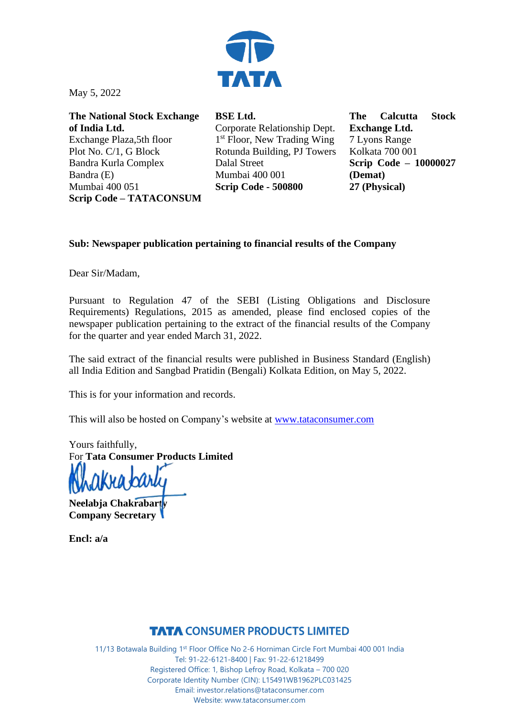

May 5, 2022

**The National Stock Exchange of India Ltd.** Exchange Plaza,5th floor Plot No. C/1, G Block Bandra Kurla Complex Bandra (E) Mumbai 400 051 **Scrip Code – TATACONSUM** **BSE Ltd.** Corporate Relationship Dept. 1<sup>st</sup> Floor, New Trading Wing Rotunda Building, PJ Towers Dalal Street Mumbai 400 001 **Scrip Code - 500800**

**The Calcutta Stock Exchange Ltd.** 7 Lyons Range Kolkata 700 001 **Scrip Code – 10000027 (Demat) 27 (Physical)**

## **Sub: Newspaper publication pertaining to financial results of the Company**

Dear Sir/Madam,

Pursuant to Regulation 47 of the SEBI (Listing Obligations and Disclosure Requirements) Regulations, 2015 as amended, please find enclosed copies of the newspaper publication pertaining to the extract of the financial results of the Company for the quarter and year ended March 31, 2022.

The said extract of the financial results were published in Business Standard (English) all India Edition and Sangbad Pratidin (Bengali) Kolkata Edition, on May 5, 2022.

This is for your information and records.

This will also be hosted on Company's website at [www.tataconsumer.com](http://www.tataconsumer.com/)

Yours faithfully, For **Tata Consumer Products Limited**

**Neelabja Chakrabarty Company Secretary**

**Encl: a/a**

## **TATA CONSUMER PRODUCTS LIMITED**

11/13 Botawala Building 1st Floor Office No 2-6 Horniman Circle Fort Mumbai 400 001 India Tel: 91-22-6121-8400 | Fax: 91-22-61218499 Registered Office: 1, Bishop Lefroy Road, Kolkata – 700 020 Corporate Identity Number (CIN): L15491WB1962PLC031425 Email: investor.relations@tataconsumer.com Website: www.tataconsumer.com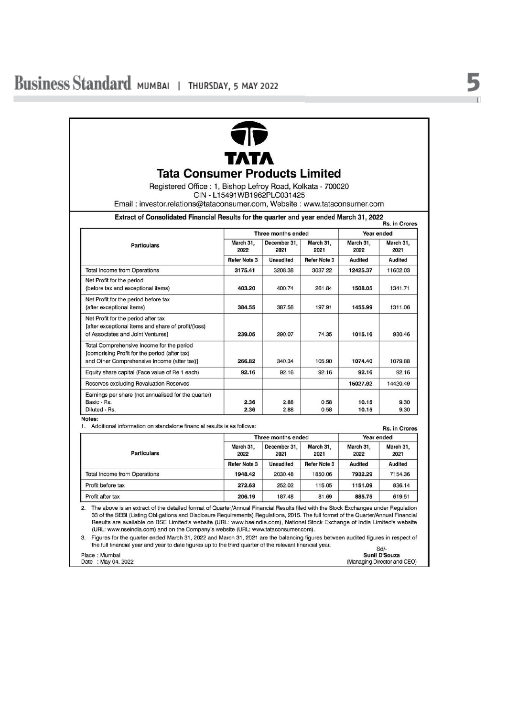

## **Tata Consumer Products Limited**

Registered Office: 1, Bishop Lefroy Road, Kolkata - 700020 CIN - L15491WB1962PLC031425

Email: investor.relations@tataconsumer.com, Website: www.tataconsumer.com

Extract of Consolidated Financial Results for the quarter and year ended March 31, 2022

| <b>Particulars</b>                                                                                                                        | Three months ended                       |                                          |                                          | Year ended                          |                              |
|-------------------------------------------------------------------------------------------------------------------------------------------|------------------------------------------|------------------------------------------|------------------------------------------|-------------------------------------|------------------------------|
|                                                                                                                                           | March 31.<br>2022<br><b>Refer Note 3</b> | December 31.<br>2021<br><b>Unaudited</b> | March 31.<br>2021<br><b>Refer Note 3</b> | March 31.<br>2022<br><b>Audited</b> | March 31.<br>2021<br>Audited |
|                                                                                                                                           |                                          |                                          |                                          |                                     |                              |
| <b>Total Income from Operations</b>                                                                                                       | 3175.41                                  | 3208.38                                  | 3037.22                                  | 12425.37                            | 11602.03                     |
| Net Profit for the period<br>(before tax and exceptional items)                                                                           | 403.20                                   | 400.74                                   | 261.84                                   | 1508.05                             | 1341.71                      |
| Net Profit for the period before tax<br>(after exceptional items)                                                                         | 384.55                                   | 387.56                                   | 197.91                                   | 1455.99                             | 1311.06                      |
| Net Profit for the period after tax<br>[after exceptional items and share of profit/(loss)<br>of Associates and Joint Ventures]           | 239.05                                   | 290.07                                   | 74.35                                    | 1015.16                             | 930.46                       |
| Total Comprehensive Income for the period<br>[comprising Profit for the period (after tax)<br>and Other Comprehensive Income (after tax)] | 266.82                                   | 340.34                                   | 105.90                                   | 1074.40                             | 1079.88                      |
| Equity share capital (Face value of Re 1 each)                                                                                            | 92.16                                    | 92.16                                    | 92.16                                    | 92.16                               | 92.16                        |
| Reserves excluding Revaluation Reserves                                                                                                   |                                          |                                          |                                          | 15027.92                            | 14420.49                     |
| Earnings per share (not annualised for the quarter)<br>Basic - Rs.<br>Diluted - Rs.                                                       | 2.36<br>2.36                             | 2.88<br>2.88                             | 0.58<br>0.58                             | 10.15<br>10.15                      | 9.30<br>9.30                 |

Notes:

1. Additional information on standalone financial results is as follows:

| <b>Particulars</b>                  |                     | Three months ended   |                     |                   | Year ended                   |  |
|-------------------------------------|---------------------|----------------------|---------------------|-------------------|------------------------------|--|
|                                     | March 31,<br>2022   | December 31.<br>2021 | March 31.<br>2021   | March 31.<br>2022 | March 31,<br>2021<br>Audited |  |
|                                     | <b>Refer Note 3</b> | <b>Unaudited</b>     | <b>Refer Note 3</b> | <b>Audited</b>    |                              |  |
| <b>Total Income from Operations</b> | 1948.42             | 2030.48              | 1850.06             | 7932.29           | 7154.36                      |  |
| Profit before tax                   | 272.63              | 252.02               | 115.05              | 1151.09           | 836.14                       |  |
| Profit after tax                    | 206.19              | 187.48               | 81.69               | 885.75            | 619.51                       |  |

The above is an extract of the detailed format of Quarter/Annual Financial Results filed with the Stock Exchanges under Regulation  $2.$ 33 of the SEBI (Listing Obligations and Disclosure Requirements) Regulations, 2015. The full format of the Quarter/Annual Financial Results are available on BSE Limited's website (URL: www.bseindia.com), National Stock Exchange of India Limited's website (URL: www.nseindia.com) and on the Company's website (URL: www.tataconsumer.com).

3. Figures for the quarter ended March 31, 2022 and March 31, 2021 are the balancing figures between audited figures in respect of the full financial year and year to date figures up to the third quarter of the relevant financial year.  $0 + l$ 

| Place: Mumbai      | our-<br><b>Sunil D'Souza</b> |
|--------------------|------------------------------|
| Date: May 04, 2022 | (Managing Director and CEO)  |

 $\cdots$